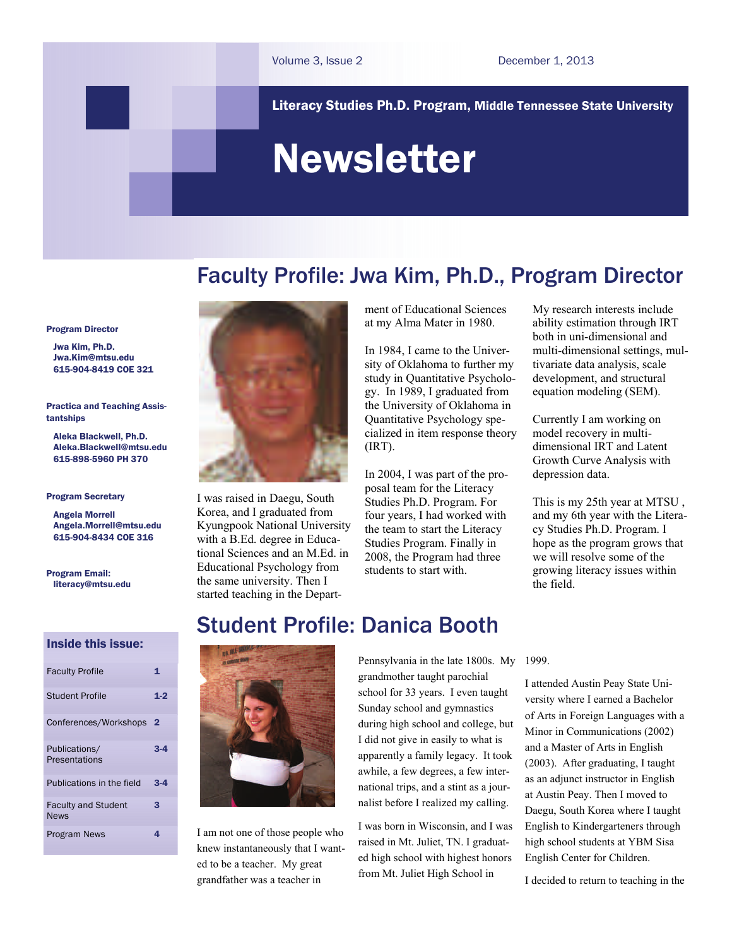Literacy Studies Ph.D. Program, Middle Tennessee State University

# Newsletter

## Faculty Profile: Jwa Kim, Ph.D., Program Director

Program Director

 Jwa Kim, Ph.D. [Jwa.Kim@mtsu.edu](mailto:pykim@mtsu.edu) 615-904-8419 COE 321

Practica and Teaching Assistantships

 Aleka Blackwell, Ph.D. Aleka.Blackwell@mtsu.edu 615-898-5960 PH 370

#### Program Secretary

 Angela Morrell Angela.Morrell[@mtsu.edu](mailto:pykim@mtsu.edu) 615-904-8434 COE 316

Program Email: literacy@mtsu.edu

I was raised in Daegu, South Korea, and I graduated from Kyungpook National University with a B.Ed. degree in Educational Sciences and an M.Ed. in Educational Psychology from the same university. Then I started teaching in the Department of Educational Sciences at my Alma Mater in 1980.

In 1984, I came to the University of Oklahoma to further my study in Quantitative Psychology. In 1989, I graduated from the University of Oklahoma in Quantitative Psychology specialized in item response theory (IRT).

In 2004, I was part of the proposal team for the Literacy Studies Ph.D. Program. For four years, I had worked with the team to start the Literacy Studies Program. Finally in 2008, the Program had three students to start with.

My research interests include ability estimation through IRT both in uni-dimensional and multi-dimensional settings, multivariate data analysis, scale development, and structural equation modeling (SEM).

Currently I am working on model recovery in multidimensional IRT and Latent Growth Curve Analysis with depression data.

This is my 25th year at MTSU , and my 6th year with the Literacy Studies Ph.D. Program. I hope as the program grows that we will resolve some of the growing literacy issues within the field.

#### Inside this issue:

| <b>Faculty Profile</b>                    | 1       |
|-------------------------------------------|---------|
| <b>Student Profile</b>                    | $1 - 2$ |
| Conferences/Workshops 2                   |         |
| Publications/<br>Presentations            | 3-4     |
| Publications in the field                 | $3 - 4$ |
| <b>Faculty and Student</b><br><b>News</b> | 3       |
| <b>Program News</b>                       | 4       |

## Student Profile: Danica Booth



I am not one of those people who knew instantaneously that I wanted to be a teacher. My great grandfather was a teacher in

Pennsylvania in the late 1800s. My grandmother taught parochial school for 33 years. I even taught Sunday school and gymnastics during high school and college, but I did not give in easily to what is apparently a family legacy. It took awhile, a few degrees, a few international trips, and a stint as a journalist before I realized my calling.

I was born in Wisconsin, and I was raised in Mt. Juliet, TN. I graduated high school with highest honors from Mt. Juliet High School in

#### 1999.

I attended Austin Peay State University where I earned a Bachelor of Arts in Foreign Languages with a Minor in Communications (2002) and a Master of Arts in English (2003). After graduating, I taught as an adjunct instructor in English at Austin Peay. Then I moved to Daegu, South Korea where I taught English to Kindergarteners through high school students at YBM Sisa English Center for Children.

I decided to return to teaching in the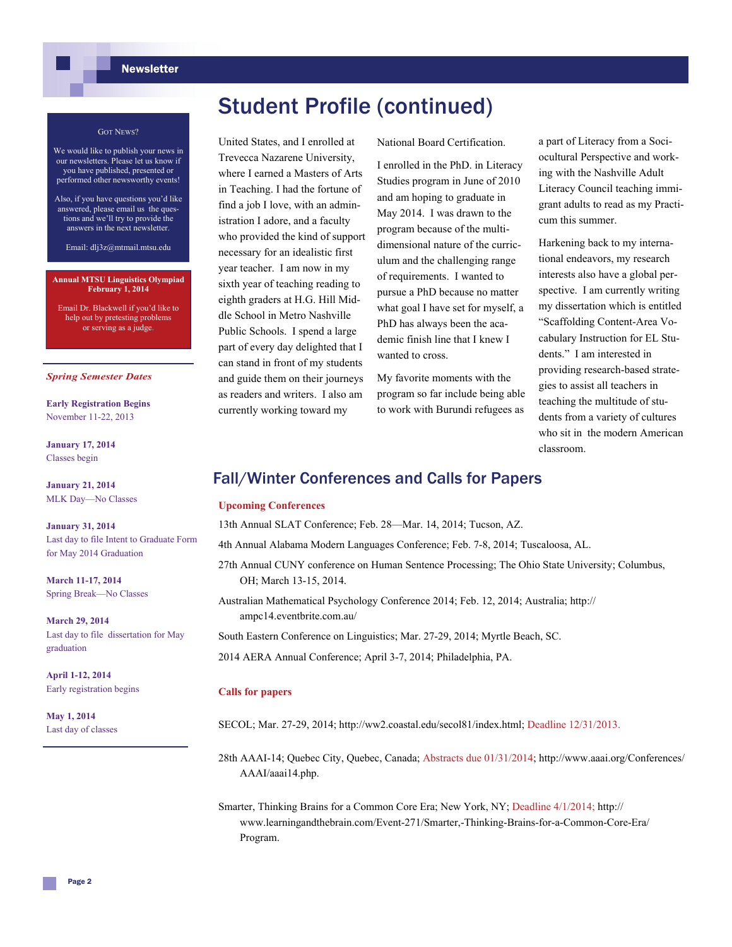## Student Profile (continued)

United States, and I enrolled at Trevecca Nazarene University, where I earned a Masters of Arts in Teaching. I had the fortune of find a job I love, with an administration I adore, and a faculty who provided the kind of support necessary for an idealistic first year teacher. I am now in my sixth year of teaching reading to eighth graders at H.G. Hill Middle School in Metro Nashville Public Schools. I spend a large part of every day delighted that I can stand in front of my students and guide them on their journeys as readers and writers. I also am currently working toward my

#### GOT NEWS?

- We would like to publish your news in our newsletters. Please let us know if you have published, presented or performed other newsworthy events!
- Also, if you have questions you'd like answered, please email us the questions and we'll try to provide the answers in the next newsletter.

Email: dlj3z@mtmail.mtsu.edu

#### **Annual MTSU Linguistics Olympiad February 1, 2014**

Email Dr. Blackwell if you'd like to help out by pretesting problems or serving as a judge.

#### *Spring Semester Dates*

**Early Registration Begins**  November 11-22, 2013

**January 17, 2014**  Classes begin

**January 21, 2014**  MLK Day—No Classes

**January 31, 2014**  Last day to file Intent to Graduate Form for May 2014 Graduation

**March 11-17, 2014**  Spring Break—No Classes

**March 29, 2014**  Last day to file dissertation for May graduation

**April 1-12, 2014**  Early registration begins

**May 1, 2014** Last day of classes National Board Certification.

I enrolled in the PhD. in Literacy Studies program in June of 2010 and am hoping to graduate in May 2014. I was drawn to the program because of the multidimensional nature of the curriculum and the challenging range of requirements. I wanted to pursue a PhD because no matter what goal I have set for myself, a PhD has always been the academic finish line that I knew I wanted to cross.

My favorite moments with the program so far include being able to work with Burundi refugees as

a part of Literacy from a Sociocultural Perspective and working with the Nashville Adult Literacy Council teaching immigrant adults to read as my Practicum this summer.

Harkening back to my international endeavors, my research interests also have a global perspective. I am currently writing my dissertation which is entitled "Scaffolding Content-Area Vocabulary Instruction for EL Students." I am interested in providing research-based strategies to assist all teachers in teaching the multitude of students from a variety of cultures who sit in the modern American classroom.

### Fall/Winter Conferences and Calls for Papers

#### **Upcoming Conferences**

13th Annual SLAT Conference; Feb. 28—Mar. 14, 2014; Tucson, AZ.

4th Annual Alabama Modern Languages Conference; Feb. 7-8, 2014; Tuscaloosa, AL.

27th Annual CUNY conference on Human Sentence Processing; The Ohio State University; Columbus, OH; March 13-15, 2014.

Australian Mathematical Psychology Conference 2014; Feb. 12, 2014; Australia; http:// ampc14.eventbrite.com.au/

South Eastern Conference on Linguistics; Mar. 27-29, 2014; Myrtle Beach, SC.

2014 AERA Annual Conference; April 3-7, 2014; Philadelphia, PA.

#### **Calls for papers**

SECOL; Mar. 27-29, 2014; http://ww2.coastal.edu/secol81/index.html; Deadline 12/31/2013.

28th AAAI-14; Quebec City, Quebec, Canada; Abstracts due 01/31/2014; http://www.aaai.org/Conferences/ AAAI/aaai14.php.

Smarter, Thinking Brains for a Common Core Era; New York, NY; Deadline 4/1/2014; http:// www.learningandthebrain.com/Event-271/Smarter,-Thinking-Brains-for-a-Common-Core-Era/ Program.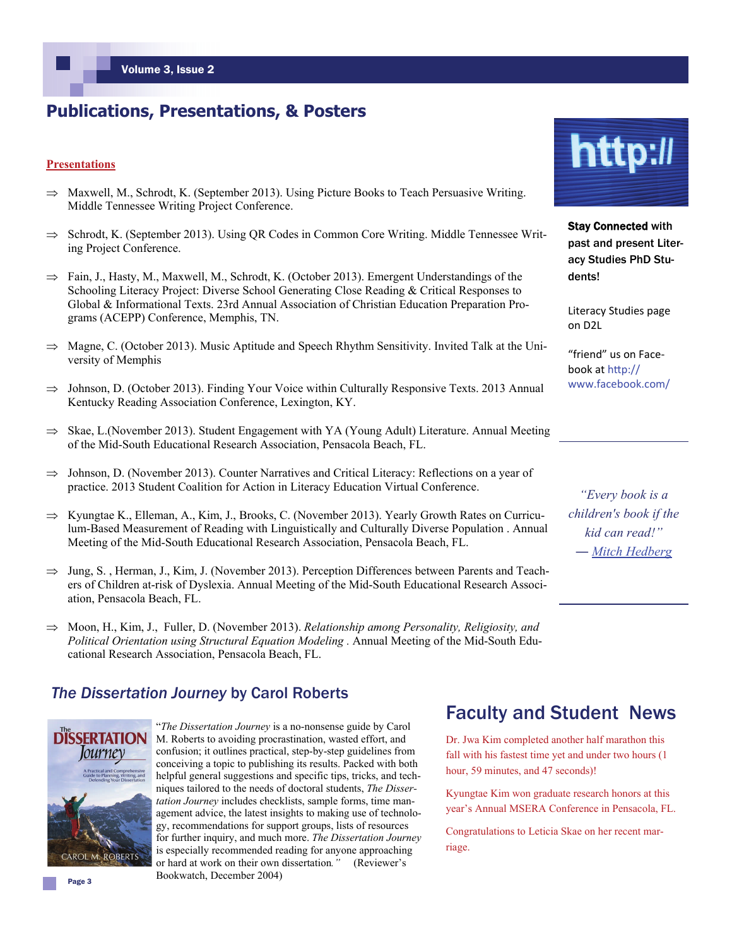## **Publications, Presentations, & Posters**

#### **Presentations**

- $\Rightarrow$  Maxwell, M., Schrodt, K. (September 2013). Using Picture Books to Teach Persuasive Writing. Middle Tennessee Writing Project Conference.
- $\Rightarrow$  Schrodt, K. (September 2013). Using QR Codes in Common Core Writing. Middle Tennessee Writing Project Conference.
- $\Rightarrow$  Fain, J., Hasty, M., Maxwell, M., Schrodt, K. (October 2013). Emergent Understandings of the Schooling Literacy Project: Diverse School Generating Close Reading & Critical Responses to Global & Informational Texts. 23rd Annual Association of Christian Education Preparation Programs (ACEPP) Conference, Memphis, TN.
- $\Rightarrow$  Magne, C. (October 2013). Music Aptitude and Speech Rhythm Sensitivity. Invited Talk at the University of Memphis
- $\Rightarrow$  Johnson, D. (October 2013). Finding Your Voice within Culturally Responsive Texts. 2013 Annual Kentucky Reading Association Conference, Lexington, KY.
- $\Rightarrow$  Skae, L.(November 2013). Student Engagement with YA (Young Adult) Literature. Annual Meeting of the Mid-South Educational Research Association, Pensacola Beach, FL.
- $\Rightarrow$  Johnson, D. (November 2013). Counter Narratives and Critical Literacy: Reflections on a year of practice. 2013 Student Coalition for Action in Literacy Education Virtual Conference.
- $\Rightarrow$  Kyungtae K., Elleman, A., Kim, J., Brooks, C. (November 2013). Yearly Growth Rates on Curriculum-Based Measurement of Reading with Linguistically and Culturally Diverse Population . Annual Meeting of the Mid-South Educational Research Association, Pensacola Beach, FL.
- $\Rightarrow$  Jung, S., Herman, J., Kim, J. (November 2013). Perception Differences between Parents and Teachers of Children at-risk of Dyslexia. Annual Meeting of the Mid-South Educational Research Association, Pensacola Beach, FL.
- $\implies$  Moon, H., Kim, J., Fuller, D. (November 2013). *Relationship among Personality, Religiosity, and Political Orientation using Structural Equation Modeling .* Annual Meeting of the Mid-South Educational Research Association, Pensacola Beach, FL.

#### *The Dissertation Journey* by Carol Roberts



"*The Dissertation Journey* is a no-nonsense guide by Carol M. Roberts to avoiding procrastination, wasted effort, and confusion; it outlines practical, step-by-step guidelines from conceiving a topic to publishing its results. Packed with both helpful general suggestions and specific tips, tricks, and techniques tailored to the needs of doctoral students, *The Dissertation Journey* includes checklists, sample forms, time management advice, the latest insights to making use of technology, recommendations for support groups, lists of resources for further inquiry, and much more. *The Dissertation Journey*  is especially recommended reading for anyone approaching or hard at work on their own dissertation*."* (Reviewer's Bookwatch, December 2004)

# http://

Stay Connected with past and present Literacy Studies PhD Students!

Literacy Studies page on D2L

"friend" us on Face‐ book at hƩp:// www.facebook.com/

*"Every book is a children's book if the kid can read!" ― [Mitch Hedberg](http://www.goodreads.com/author/show/6579702.Mitch_Hedberg)* 

## Faculty and Student News

Dr. Jwa Kim completed another half marathon this fall with his fastest time yet and under two hours (1 hour, 59 minutes, and 47 seconds)!

Kyungtae Kim won graduate research honors at this year's Annual MSERA Conference in Pensacola, FL.

Congratulations to Leticia Skae on her recent marriage.